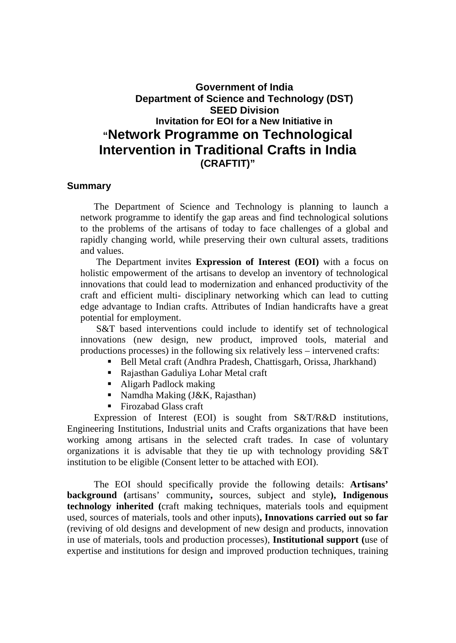## **Government of India Department of Science and Technology (DST) SEED Division Invitation for EOI for a New Initiative in "Network Programme on Technological Intervention in Traditional Crafts in India (CRAFTIT)"**

## **Summary**

The Department of Science and Technology is planning to launch a network programme to identify the gap areas and find technological solutions to the problems of the artisans of today to face challenges of a global and rapidly changing world, while preserving their own cultural assets, traditions and values.

The Department invites **Expression of Interest (EOI)** with a focus on holistic empowerment of the artisans to develop an inventory of technological innovations that could lead to modernization and enhanced productivity of the craft and efficient multi- disciplinary networking which can lead to cutting edge advantage to Indian crafts. Attributes of Indian handicrafts have a great potential for employment.

S&T based interventions could include to identify set of technological innovations (new design, new product, improved tools, material and productions processes) in the following six relatively less – intervened crafts:

- Bell Metal craft (Andhra Pradesh, Chattisgarh, Orissa, Jharkhand)
- Rajasthan Gaduliya Lohar Metal craft
- Aligarh Padlock making
- Namdha Making (J&K, Rajasthan)
- Firozabad Glass craft

Expression of Interest (EOI) is sought from S&T/R&D institutions, Engineering Institutions, Industrial units and Crafts organizations that have been working among artisans in the selected craft trades. In case of voluntary organizations it is advisable that they tie up with technology providing S&T institution to be eligible (Consent letter to be attached with EOI).

The EOI should specifically provide the following details: **Artisans' background (**artisans' community**,** sources, subject and style**), Indigenous technology inherited (**craft making techniques, materials tools and equipment used, sources of materials, tools and other inputs)**, Innovations carried out so far** (reviving of old designs and development of new design and products, innovation in use of materials, tools and production processes), **Institutional support (**use of expertise and institutions for design and improved production techniques, training